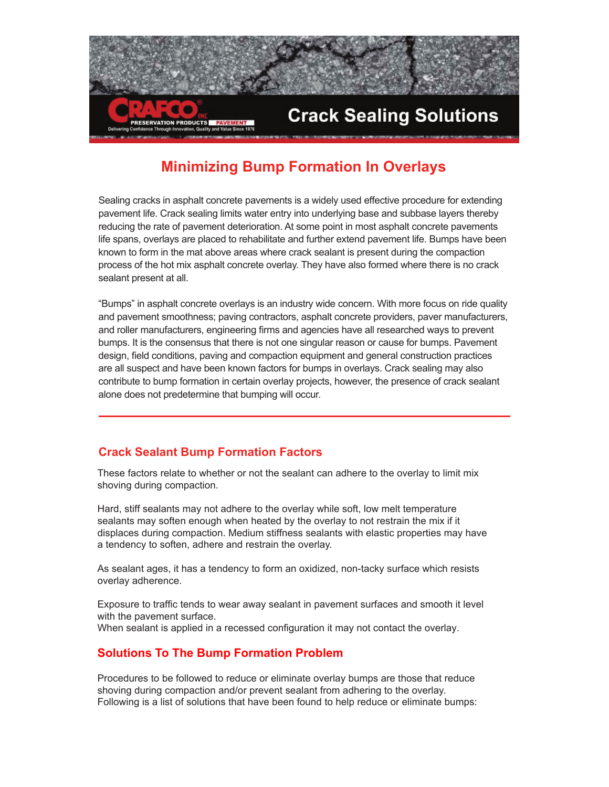

# **Minimizing Bump Formation In Overlays**

Sealing cracks in asphalt concrete pavements is a widely used effective procedure for extending pavement life. Crack sealing limits water entry into underlying base and subbase layers thereby reducing the rate of pavement deterioration. At some point in most asphalt concrete pavements life spans, overlays are placed to rehabilitate and further extend pavement life. Bumps have been known to form in the mat above areas where crack sealant is present during the compaction process of the hot mix asphalt concrete overlay. They have also formed where there is no crack sealant present at all.

"Bumps" in asphalt concrete overlays is an industry wide concern. With more focus on ride quality and pavement smoothness; paving contractors, asphalt concrete providers, paver manufacturers, and roller manufacturers, engineering firms and agencies have all researched ways to prevent bumps. It is the consensus that there is not one singular reason or cause for bumps. Pavement design, field conditions, paving and compaction equipment and general construction practices are all suspect and have been known factors for bumps in overlays. Crack sealing may also contribute to bump formation in certain overlay projects, however, the presence of crack sealant alone does not predetermine that bumping will occur.

## **Crack Sealant Bump Formation Factors**

These factors relate to whether or not the sealant can adhere to the overlay to limit mix shoving during compaction.

Hard, stiff sealants may not adhere to the overlay while soft, low melt temperature sealants may soften enough when heated by the overlay to not restrain the mix if it displaces during compaction. Medium stiffness sealants with elastic properties may have a tendency to soften, adhere and restrain the overlay.

As sealant ages, it has a tendency to form an oxidized, non-tacky surface which resists overlay adherence.

Exposure to traffic tends to wear away sealant in pavement surfaces and smooth it level with the pavement surface.

When sealant is applied in a recessed configuration it may not contact the overlay.

## **Solutions To The Bump Formation Problem**

Procedures to be followed to reduce or eliminate overlay bumps are those that reduce shoving during compaction and/or prevent sealant from adhering to the overlay. Following is a list of solutions that have been found to help reduce or eliminate bumps: